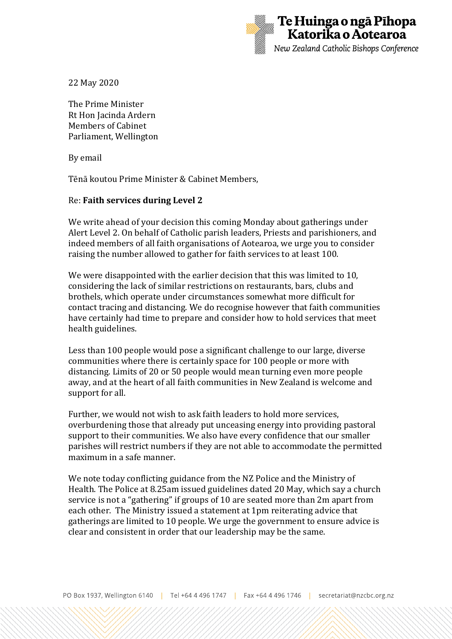

22 May 2020

The Prime Minister Rt Hon Jacinda Ardern Members of Cabinet Parliament, Wellington

By email

Tēnā koutou Prime Minister & Cabinet Members,

## Re: **Faith services during Level 2**

We write ahead of your decision this coming Monday about gatherings under Alert Level 2. On behalf of Catholic parish leaders, Priests and parishioners, and indeed members of all faith organisations of Aotearoa, we urge you to consider raising the number allowed to gather for faith services to at least 100.

We were disappointed with the earlier decision that this was limited to 10, considering the lack of similar restrictions on restaurants, bars, clubs and brothels, which operate under circumstances somewhat more difficult for contact tracing and distancing. We do recognise however that faith communities have certainly had time to prepare and consider how to hold services that meet health guidelines.

Less than 100 people would pose a significant challenge to our large, diverse communities where there is certainly space for 100 people or more with distancing. Limits of 20 or 50 people would mean turning even more people away, and at the heart of all faith communities in New Zealand is welcome and support for all.

Further, we would not wish to ask faith leaders to hold more services, overburdening those that already put unceasing energy into providing pastoral support to their communities. We also have every confidence that our smaller parishes will restrict numbers if they are not able to accommodate the permitted maximum in a safe manner.

We note today conflicting guidance from the NZ Police and the Ministry of Health. The Police at 8.25am issued guidelines dated 20 May, which say a church service is not a "gathering" if groups of 10 are seated more than 2m apart from each other. The Ministry issued a statement at 1pm reiterating advice that gatherings are limited to 10 people. We urge the government to ensure advice is clear and consistent in order that our leadership may be the same.